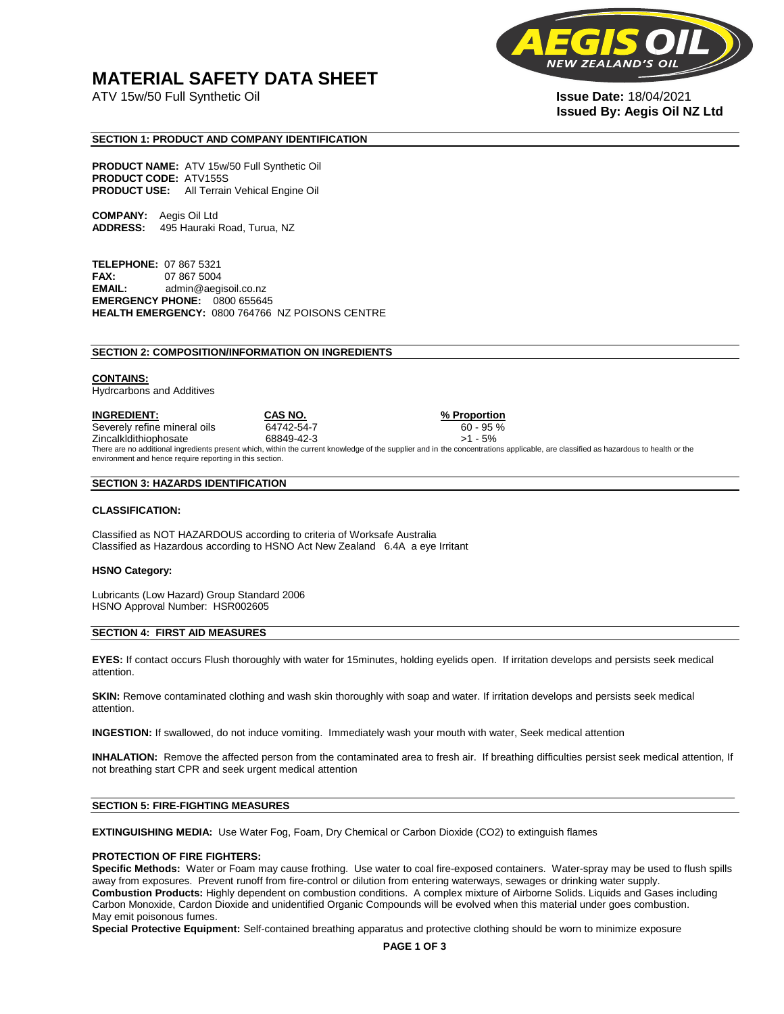## **MATERIAL SAFETY DATA SHEET**

ATV 15w/50 Full Synthetic Oil **Issue Date:** 18/04/2021



# **Issued By: Aegis Oil NZ Ltd**

#### **SECTION 1: PRODUCT AND COMPANY IDENTIFICATION**

**PRODUCT NAME:** ATV 15w/50 Full Synthetic Oil **PRODUCT CODE:** ATV155S **PRODUCT USE:** All Terrain Vehical Engine Oil

**COMPANY:** Aegis Oil Ltd **ADDRESS:** 495 Hauraki Road, Turua, NZ

**TELEPHONE:** 07 867 5321 **FAX:** 07 867 5004 **EMAIL:** admin@aegisoil.co.nz **EMERGENCY PHONE:** 0800 655645 **HEALTH EMERGENCY:** 0800 764766 NZ POISONS CENTRE

#### **SECTION 2: COMPOSITION/INFORMATION ON INGREDIENTS**

#### **CONTAINS:**

Hydrcarbons and Additives

**INGREDIENT: CAS NO. % Proportion**  Severely refine mineral oils 64742-54-7 60 - 95 % Zincalkldithiophosate 68849-42-3 >1 - 5% There are no additional ingredients present which, within the current knowledge of the supplier and in the concentrations applicable, are classified as hazardous to health or the environment and hence require reporting in this section.

#### **SECTION 3: HAZARDS IDENTIFICATION**

#### **CLASSIFICATION:**

Classified as NOT HAZARDOUS according to criteria of Worksafe Australia Classified as Hazardous according to HSNO Act New Zealand 6.4A a eye Irritant

#### **HSNO Category:**

Lubricants (Low Hazard) Group Standard 2006 HSNO Approval Number: HSR002605

#### **SECTION 4: FIRST AID MEASURES**

**EYES:** If contact occurs Flush thoroughly with water for 15minutes, holding eyelids open. If irritation develops and persists seek medical attention.

**SKIN:** Remove contaminated clothing and wash skin thoroughly with soap and water. If irritation develops and persists seek medical attention.

**INGESTION:** If swallowed, do not induce vomiting. Immediately wash your mouth with water, Seek medical attention

**INHALATION:** Remove the affected person from the contaminated area to fresh air. If breathing difficulties persist seek medical attention, If not breathing start CPR and seek urgent medical attention

#### **SECTION 5: FIRE-FIGHTING MEASURES**

**EXTINGUISHING MEDIA:** Use Water Fog, Foam, Dry Chemical or Carbon Dioxide (CO2) to extinguish flames

#### **PROTECTION OF FIRE FIGHTERS:**

**Specific Methods:** Water or Foam may cause frothing. Use water to coal fire-exposed containers. Water-spray may be used to flush spills away from exposures. Prevent runoff from fire-control or dilution from entering waterways, sewages or drinking water supply. **Combustion Products:** Highly dependent on combustion conditions. A complex mixture of Airborne Solids. Liquids and Gases including Carbon Monoxide, Cardon Dioxide and unidentified Organic Compounds will be evolved when this material under goes combustion. May emit poisonous fumes.

**Special Protective Equipment:** Self-contained breathing apparatus and protective clothing should be worn to minimize exposure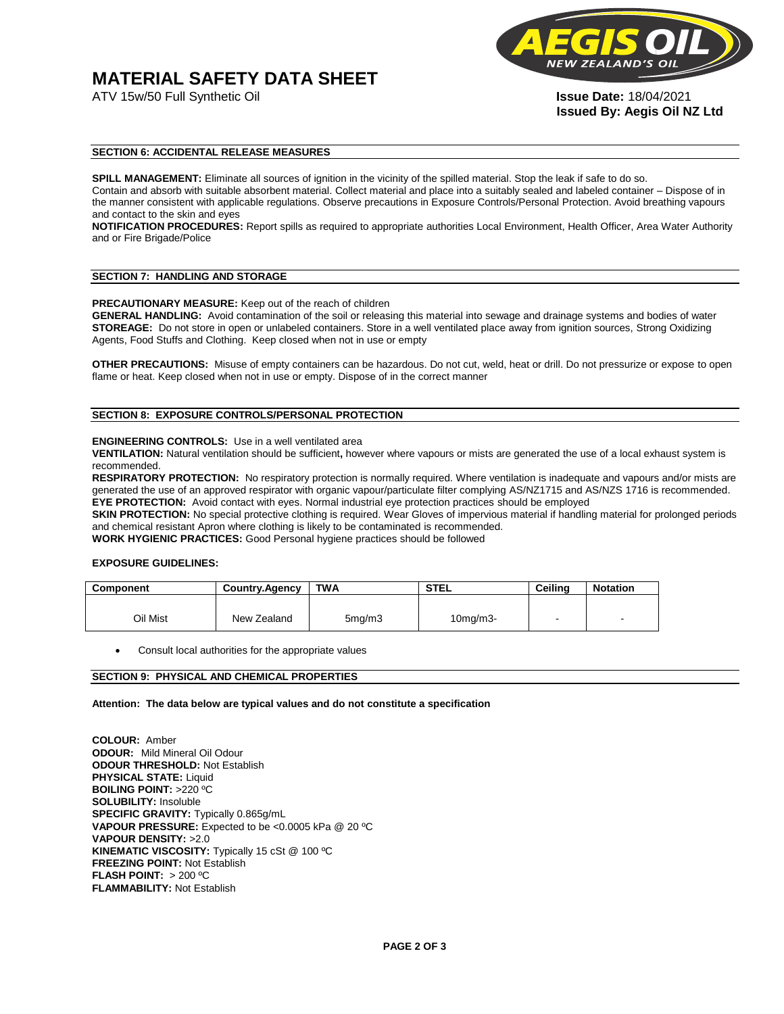# **MATERIAL SAFETY DATA SHEET**



**Issued By: Aegis Oil NZ Ltd** 

#### **SECTION 6: ACCIDENTAL RELEASE MEASURES**

**SPILL MANAGEMENT:** Eliminate all sources of ignition in the vicinity of the spilled material. Stop the leak if safe to do so. Contain and absorb with suitable absorbent material. Collect material and place into a suitably sealed and labeled container – Dispose of in the manner consistent with applicable regulations. Observe precautions in Exposure Controls/Personal Protection. Avoid breathing vapours and contact to the skin and eyes

**NOTIFICATION PROCEDURES:** Report spills as required to appropriate authorities Local Environment, Health Officer, Area Water Authority and or Fire Brigade/Police

#### **SECTION 7: HANDLING AND STORAGE**

**PRECAUTIONARY MEASURE:** Keep out of the reach of children

**GENERAL HANDLING:** Avoid contamination of the soil or releasing this material into sewage and drainage systems and bodies of water **STOREAGE:** Do not store in open or unlabeled containers. Store in a well ventilated place away from ignition sources, Strong Oxidizing Agents, Food Stuffs and Clothing. Keep closed when not in use or empty

**OTHER PRECAUTIONS:** Misuse of empty containers can be hazardous. Do not cut, weld, heat or drill. Do not pressurize or expose to open flame or heat. Keep closed when not in use or empty. Dispose of in the correct manner

#### **SECTION 8: EXPOSURE CONTROLS/PERSONAL PROTECTION**

#### **ENGINEERING CONTROLS:** Use in a well ventilated area

**VENTILATION:** Natural ventilation should be sufficient**,** however where vapours or mists are generated the use of a local exhaust system is recommended.

**RESPIRATORY PROTECTION:** No respiratory protection is normally required. Where ventilation is inadequate and vapours and/or mists are generated the use of an approved respirator with organic vapour/particulate filter complying AS/NZ1715 and AS/NZS 1716 is recommended. **EYE PROTECTION:** Avoid contact with eyes. Normal industrial eye protection practices should be employed

**SKIN PROTECTION:** No special protective clothing is required. Wear Gloves of impervious material if handling material for prolonged periods and chemical resistant Apron where clothing is likely to be contaminated is recommended.

**WORK HYGIENIC PRACTICES:** Good Personal hygiene practices should be followed

#### **EXPOSURE GUIDELINES:**

| <b>Component</b> | <b>Country.Agency</b> | <b>TWA</b>          | <b>STEL</b>    | Ceilina | <b>Notation</b>          |
|------------------|-----------------------|---------------------|----------------|---------|--------------------------|
|                  |                       |                     |                |         |                          |
| Oil Mist         | New Zealand           | 5 <sub>mq</sub> /m3 | $10$ mg/m $3-$ |         | $\overline{\phantom{a}}$ |

Consult local authorities for the appropriate values

#### **SECTION 9: PHYSICAL AND CHEMICAL PROPERTIES**

**Attention: The data below are typical values and do not constitute a specification** 

**COLOUR:** Amber **ODOUR:** Mild Mineral Oil Odour **ODOUR THRESHOLD:** Not Establish **PHYSICAL STATE:** Liquid **BOILING POINT:** >220 ºC **SOLUBILITY:** Insoluble **SPECIFIC GRAVITY:** Typically 0.865g/mL **VAPOUR PRESSURE:** Expected to be <0.0005 kPa @ 20 ºC **VAPOUR DENSITY:** >2.0 **KINEMATIC VISCOSITY:** Typically 15 cSt @ 100 ºC **FREEZING POINT: Not Establish FLASH POINT:** > 200 ºC **FLAMMABILITY:** Not Establish